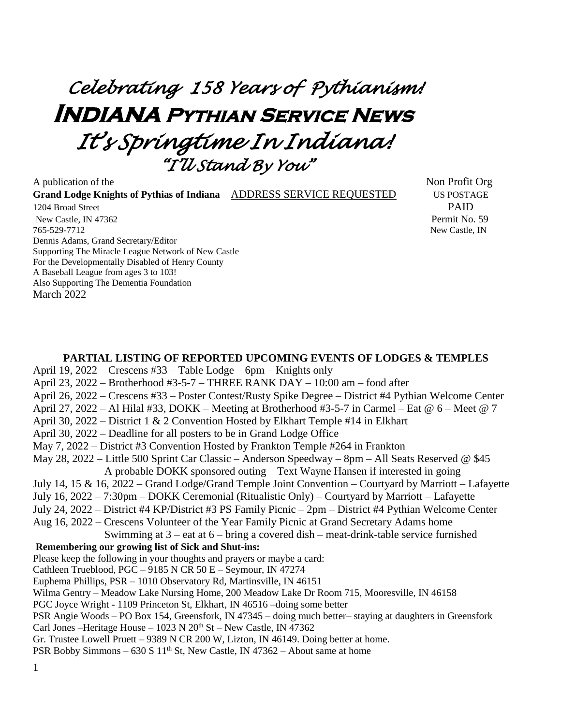# *Celebrating 158 Years of Pythianism!*  **Indiana Pythian Service News**  *It's Springtime In Indiana! "I'll Stand By You"*

A publication of the Non-**Grand Lodge Knights of Pythias of Indiana** ADDRESS SERVICE REQUESTED US POSTAGE 1204 Broad Street PAID New Castle, IN 47362 Permit No. 59 765-529-7712 New Castle, IN Dennis Adams, Grand Secretary/Editor Supporting The Miracle League Network of New Castle For the Developmentally Disabled of Henry County A Baseball League from ages 3 to 103! Also Supporting The Dementia Foundation March 2022

#### **PARTIAL LISTING OF REPORTED UPCOMING EVENTS OF LODGES & TEMPLES**

1 April 19, 2022 – Crescens #33 – Table Lodge – 6pm – Knights only April 23, 2022 – Brotherhood #3-5-7 – THREE RANK DAY – 10:00 am – food after April 26, 2022 – Crescens #33 – Poster Contest/Rusty Spike Degree – District #4 Pythian Welcome Center April 27, 2022 – Al Hilal #33, DOKK – Meeting at Brotherhood #3-5-7 in Carmel – Eat @  $6$  – Meet @ 7 April 30, 2022 – District 1 & 2 Convention Hosted by Elkhart Temple #14 in Elkhart April 30, 2022 – Deadline for all posters to be in Grand Lodge Office May 7, 2022 – District #3 Convention Hosted by Frankton Temple #264 in Frankton May 28, 2022 – Little 500 Sprint Car Classic – Anderson Speedway – 8pm – All Seats Reserved @ \$45 A probable DOKK sponsored outing – Text Wayne Hansen if interested in going July 14, 15 & 16, 2022 – Grand Lodge/Grand Temple Joint Convention – Courtyard by Marriott – Lafayette July 16, 2022 – 7:30pm – DOKK Ceremonial (Ritualistic Only) – Courtyard by Marriott – Lafayette July 24, 2022 – District #4 KP/District #3 PS Family Picnic – 2pm – District #4 Pythian Welcome Center Aug 16, 2022 – Crescens Volunteer of the Year Family Picnic at Grand Secretary Adams home Swimming at  $3$  – eat at  $6$  – bring a covered dish – meat-drink-table service furnished **Remembering our growing list of Sick and Shut-ins:** Please keep the following in your thoughts and prayers or maybe a card: Cathleen Trueblood, PGC – 9185 N CR 50 E – Seymour, IN 47274 Euphema Phillips, PSR – 1010 Observatory Rd, Martinsville, IN 46151 Wilma Gentry – Meadow Lake Nursing Home, 200 Meadow Lake Dr Room 715, Mooresville, IN 46158 PGC Joyce Wright - 1109 Princeton St, Elkhart, IN 46516 –doing some better PSR Angie Woods – PO Box 154, Greensfork, IN 47345 – doing much better– staying at daughters in Greensfork Carl Jones –Heritage House –  $1023$  N  $20<sup>th</sup>$  St – New Castle, IN 47362 Gr. Trustee Lowell Pruett – 9389 N CR 200 W, Lizton, IN 46149. Doing better at home. PSR Bobby Simmons – 630 S  $11<sup>th</sup>$  St, New Castle, IN 47362 – About same at home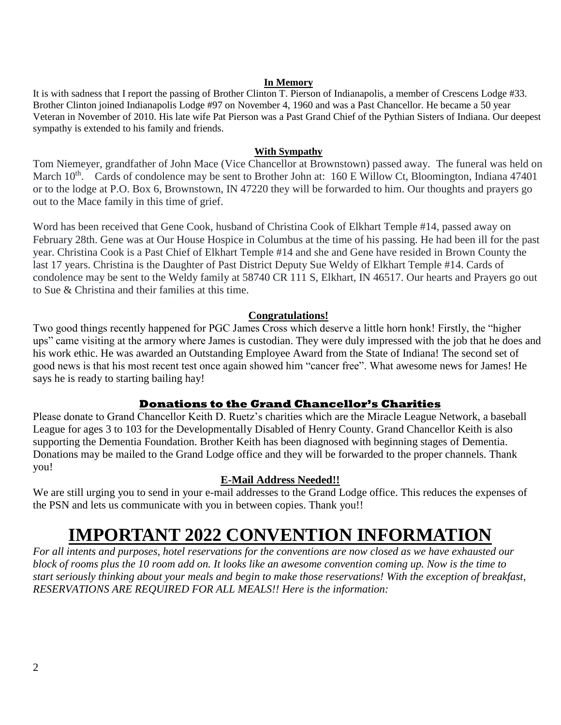#### **In Memory**

It is with sadness that I report the passing of Brother Clinton T. Pierson of Indianapolis, a member of Crescens Lodge #33. Brother Clinton joined Indianapolis Lodge #97 on November 4, 1960 and was a Past Chancellor. He became a 50 year Veteran in November of 2010. His late wife Pat Pierson was a Past Grand Chief of the Pythian Sisters of Indiana. Our deepest sympathy is extended to his family and friends.

#### **With Sympathy**

Tom Niemeyer, grandfather of John Mace (Vice Chancellor at Brownstown) passed away. The funeral was held on March 10<sup>th</sup>. Cards of condolence may be sent to Brother John at: 160 E Willow Ct, Bloomington, Indiana 47401 or to the lodge at P.O. Box 6, Brownstown, IN 47220 they will be forwarded to him. Our thoughts and prayers go out to the Mace family in this time of grief.

Word has been received that Gene Cook, husband of Christina Cook of Elkhart Temple #14, passed away on February 28th. Gene was at Our House Hospice in Columbus at the time of his passing. He had been ill for the past year. Christina Cook is a Past Chief of Elkhart Temple #14 and she and Gene have resided in Brown County the last 17 years. Christina is the Daughter of Past District Deputy Sue Weldy of Elkhart Temple #14. Cards of condolence may be sent to the Weldy family at 58740 CR 111 S, Elkhart, IN 46517. Our hearts and Prayers go out to Sue & Christina and their families at this time.

#### **Congratulations!**

Two good things recently happened for PGC James Cross which deserve a little horn honk! Firstly, the "higher ups" came visiting at the armory where James is custodian. They were duly impressed with the job that he does and his work ethic. He was awarded an Outstanding Employee Award from the State of Indiana! The second set of good news is that his most recent test once again showed him "cancer free". What awesome news for James! He says he is ready to starting bailing hay!

#### **Donations to the Grand Chancellor's Charities**

Please donate to Grand Chancellor Keith D. Ruetz's charities which are the Miracle League Network, a baseball League for ages 3 to 103 for the Developmentally Disabled of Henry County. Grand Chancellor Keith is also supporting the Dementia Foundation. Brother Keith has been diagnosed with beginning stages of Dementia. Donations may be mailed to the Grand Lodge office and they will be forwarded to the proper channels. Thank you!

#### **E-Mail Address Needed!!**

We are still urging you to send in your e-mail addresses to the Grand Lodge office. This reduces the expenses of the PSN and lets us communicate with you in between copies. Thank you!!

## **IMPORTANT 2022 CONVENTION INFORMATION**

*For all intents and purposes, hotel reservations for the conventions are now closed as we have exhausted our block of rooms plus the 10 room add on. It looks like an awesome convention coming up. Now is the time to start seriously thinking about your meals and begin to make those reservations! With the exception of breakfast, RESERVATIONS ARE REQUIRED FOR ALL MEALS!! Here is the information:*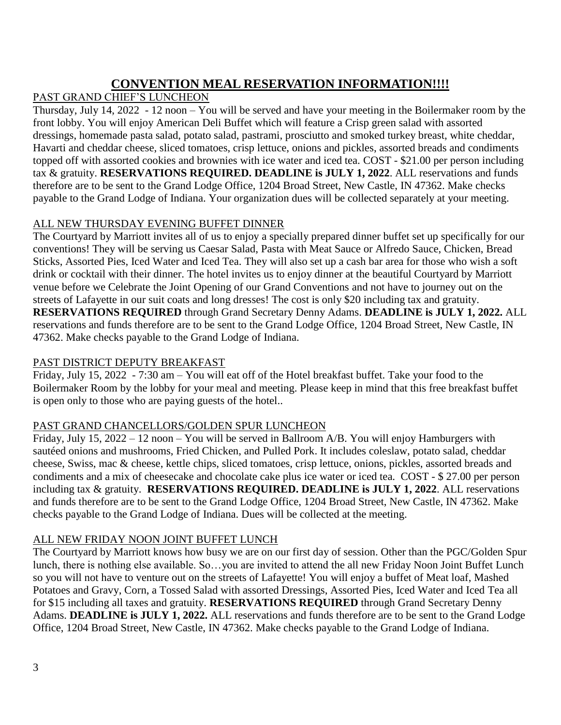## **CONVENTION MEAL RESERVATION INFORMATION!!!!**

## PAST GRAND CHIEF'S LUNCHEON

Thursday, July 14, 2022 - 12 noon – You will be served and have your meeting in the Boilermaker room by the front lobby. You will enjoy American Deli Buffet which will feature a Crisp green salad with assorted dressings, homemade pasta salad, potato salad, pastrami, prosciutto and smoked turkey breast, white cheddar, Havarti and cheddar cheese, sliced tomatoes, crisp lettuce, onions and pickles, assorted breads and condiments topped off with assorted cookies and brownies with ice water and iced tea. COST - \$21.00 per person including tax & gratuity. **RESERVATIONS REQUIRED. DEADLINE is JULY 1, 2022**. ALL reservations and funds therefore are to be sent to the Grand Lodge Office, 1204 Broad Street, New Castle, IN 47362. Make checks payable to the Grand Lodge of Indiana. Your organization dues will be collected separately at your meeting.

## ALL NEW THURSDAY EVENING BUFFET DINNER

The Courtyard by Marriott invites all of us to enjoy a specially prepared dinner buffet set up specifically for our conventions! They will be serving us Caesar Salad, Pasta with Meat Sauce or Alfredo Sauce, Chicken, Bread Sticks, Assorted Pies, Iced Water and Iced Tea. They will also set up a cash bar area for those who wish a soft drink or cocktail with their dinner. The hotel invites us to enjoy dinner at the beautiful Courtyard by Marriott venue before we Celebrate the Joint Opening of our Grand Conventions and not have to journey out on the streets of Lafayette in our suit coats and long dresses! The cost is only \$20 including tax and gratuity. **RESERVATIONS REQUIRED** through Grand Secretary Denny Adams. **DEADLINE is JULY 1, 2022.** ALL reservations and funds therefore are to be sent to the Grand Lodge Office, 1204 Broad Street, New Castle, IN 47362. Make checks payable to the Grand Lodge of Indiana.

## PAST DISTRICT DEPUTY BREAKFAST

Friday, July 15, 2022 - 7:30 am – You will eat off of the Hotel breakfast buffet. Take your food to the Boilermaker Room by the lobby for your meal and meeting. Please keep in mind that this free breakfast buffet is open only to those who are paying guests of the hotel..

## PAST GRAND CHANCELLORS/GOLDEN SPUR LUNCHEON

Friday, July 15, 2022 – 12 noon – You will be served in Ballroom A/B. You will enjoy Hamburgers with sautéed onions and mushrooms, Fried Chicken, and Pulled Pork. It includes coleslaw, potato salad, cheddar cheese, Swiss, mac & cheese, kettle chips, sliced tomatoes, crisp lettuce, onions, pickles, assorted breads and condiments and a mix of cheesecake and chocolate cake plus ice water or iced tea. COST - \$ 27.00 per person including tax & gratuity. **RESERVATIONS REQUIRED. DEADLINE is JULY 1, 2022**. ALL reservations and funds therefore are to be sent to the Grand Lodge Office, 1204 Broad Street, New Castle, IN 47362. Make checks payable to the Grand Lodge of Indiana. Dues will be collected at the meeting.

## ALL NEW FRIDAY NOON JOINT BUFFET LUNCH

The Courtyard by Marriott knows how busy we are on our first day of session. Other than the PGC/Golden Spur lunch, there is nothing else available. So…you are invited to attend the all new Friday Noon Joint Buffet Lunch so you will not have to venture out on the streets of Lafayette! You will enjoy a buffet of Meat loaf, Mashed Potatoes and Gravy, Corn, a Tossed Salad with assorted Dressings, Assorted Pies, Iced Water and Iced Tea all for \$15 including all taxes and gratuity. **RESERVATIONS REQUIRED** through Grand Secretary Denny Adams. **DEADLINE is JULY 1, 2022.** ALL reservations and funds therefore are to be sent to the Grand Lodge Office, 1204 Broad Street, New Castle, IN 47362. Make checks payable to the Grand Lodge of Indiana.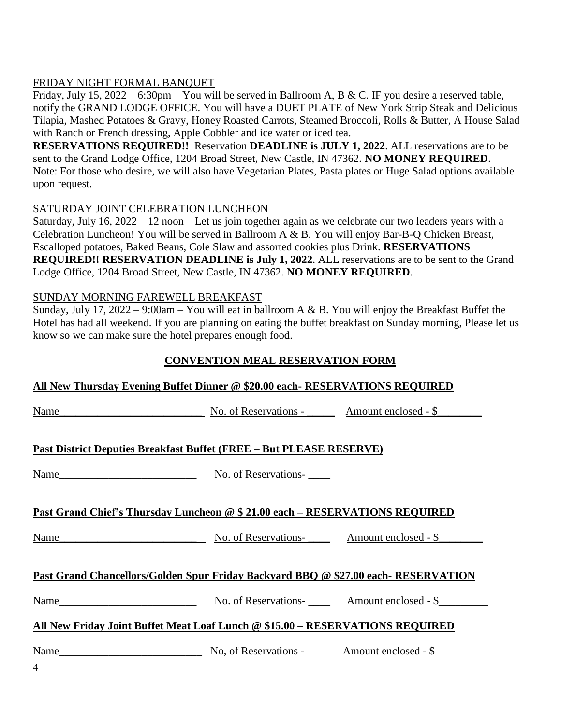#### FRIDAY NIGHT FORMAL BANQUET

Friday, July 15, 2022 – 6:30pm – You will be served in Ballroom A, B & C. IF you desire a reserved table, notify the GRAND LODGE OFFICE. You will have a DUET PLATE of New York Strip Steak and Delicious Tilapia, Mashed Potatoes & Gravy, Honey Roasted Carrots, Steamed Broccoli, Rolls & Butter, A House Salad with Ranch or French dressing, Apple Cobbler and ice water or iced tea.

**RESERVATIONS REQUIRED!!** Reservation **DEADLINE is JULY 1, 2022**. ALL reservations are to be sent to the Grand Lodge Office, 1204 Broad Street, New Castle, IN 47362. **NO MONEY REQUIRED**. Note: For those who desire, we will also have Vegetarian Plates, Pasta plates or Huge Salad options available upon request.

#### SATURDAY JOINT CELEBRATION LUNCHEON

Saturday, July 16, 2022 – 12 noon – Let us join together again as we celebrate our two leaders years with a Celebration Luncheon! You will be served in Ballroom A & B. You will enjoy Bar-B-Q Chicken Breast, Escalloped potatoes, Baked Beans, Cole Slaw and assorted cookies plus Drink. **RESERVATIONS REQUIRED!! RESERVATION DEADLINE is July 1, 2022**. ALL reservations are to be sent to the Grand Lodge Office, 1204 Broad Street, New Castle, IN 47362. **NO MONEY REQUIRED**.

#### SUNDAY MORNING FAREWELL BREAKFAST

Sunday, July 17, 2022 – 9:00am – You will eat in ballroom A & B. You will enjoy the Breakfast Buffet the Hotel has had all weekend. If you are planning on eating the buffet breakfast on Sunday morning, Please let us know so we can make sure the hotel prepares enough food.

## **CONVENTION MEAL RESERVATION FORM**

| All New Thursday Evening Buffet Dinner @ \$20.00 each- RESERVATIONS REQUIRED                                                  |                                                     |  |
|-------------------------------------------------------------------------------------------------------------------------------|-----------------------------------------------------|--|
| Name Name No. of Reservations - Amount enclosed - \$                                                                          |                                                     |  |
| <b>Past District Deputies Breakfast Buffet (FREE – But PLEASE RESERVE)</b>                                                    |                                                     |  |
| Name                                                                                                                          | No. of Reservations-                                |  |
| <u>Past Grand Chief's Thursday Luncheon @ \$21.00 each – RESERVATIONS REQUIRED</u>                                            |                                                     |  |
| Name                                                                                                                          | No. of Reservations-<br><u>Amount</u> enclosed - \$ |  |
| Past Grand Chancellors/Golden Spur Friday Backyard BBQ @ \$27.00 each- RESERVATION                                            |                                                     |  |
| Name<br><u> 1989 - Johann Barbara, martin da basar da basar da basar da basar da basar da basar da basar da basar da basa</u> | No. of Reservations-<br><u>Amount</u> enclosed - \$ |  |
| All New Friday Joint Buffet Meat Loaf Lunch @ \$15.00 - RESERVATIONS REQUIRED                                                 |                                                     |  |
| Name                                                                                                                          | No, of Reservations - Amount enclosed - \$          |  |
| $\overline{4}$                                                                                                                |                                                     |  |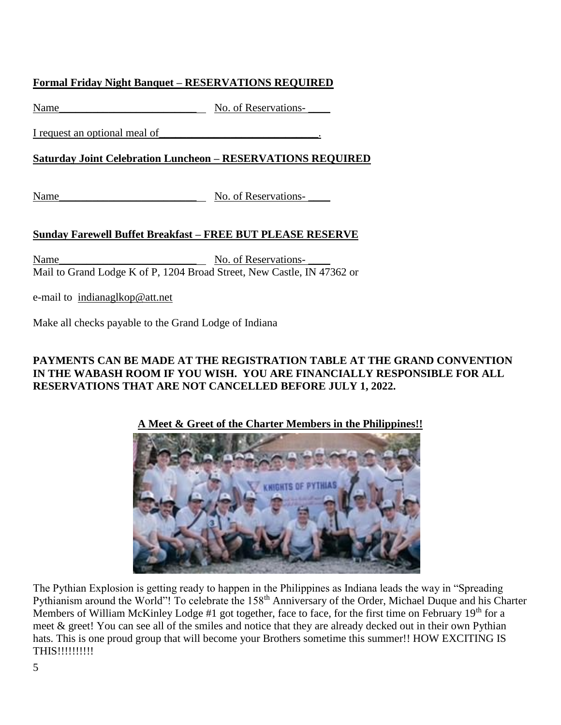## **Formal Friday Night Banquet – RESERVATIONS REQUIRED**

Name No. of Reservations-

I request an optional meal of

## **Saturday Joint Celebration Luncheon – RESERVATIONS REQUIRED**

Name\_\_\_\_\_\_\_\_\_\_\_\_\_\_\_\_\_\_\_\_\_\_\_\_\_ No. of Reservations- \_\_\_\_

## **Sunday Farewell Buffet Breakfast – FREE BUT PLEASE RESERVE**

Name\_\_\_\_\_\_\_\_\_\_\_\_\_\_\_\_\_\_\_\_\_\_\_\_\_ No. of Reservations- \_\_\_\_ Mail to Grand Lodge K of P, 1204 Broad Street, New Castle, IN 47362 or

e-mail to [indianaglkop@att.net](mailto:indianaglkop@att.net)

Make all checks payable to the Grand Lodge of Indiana

#### **PAYMENTS CAN BE MADE AT THE REGISTRATION TABLE AT THE GRAND CONVENTION IN THE WABASH ROOM IF YOU WISH. YOU ARE FINANCIALLY RESPONSIBLE FOR ALL RESERVATIONS THAT ARE NOT CANCELLED BEFORE JULY 1, 2022.**

## **A Meet & Greet of the Charter Members in the Philippines!!**



The Pythian Explosion is getting ready to happen in the Philippines as Indiana leads the way in "Spreading Pythianism around the World"! To celebrate the 158<sup>th</sup> Anniversary of the Order, Michael Duque and his Charter Members of William McKinley Lodge #1 got together, face to face, for the first time on February 19<sup>th</sup> for a meet & greet! You can see all of the smiles and notice that they are already decked out in their own Pythian hats. This is one proud group that will become your Brothers sometime this summer!! HOW EXCITING IS THIS!!!!!!!!!!